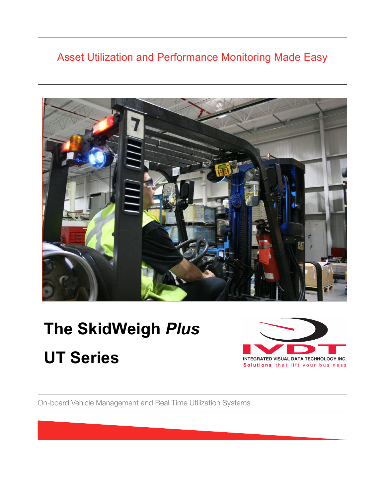### Asset Utilization and Performance Monitoring Made Easy



# **The SkidWeigh** *Plus*  **UT Series**



On-board Vehicle Management and Real Time Utilization Systems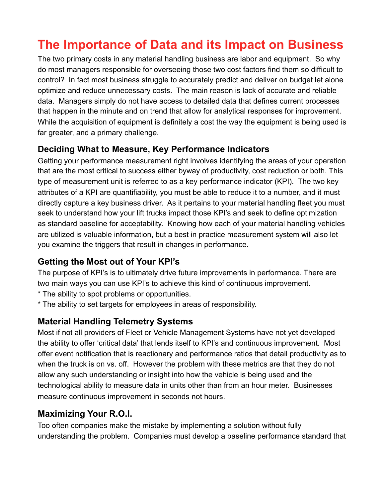## **The Importance of Data and its Impact on Business**

The two primary costs in any material handling business are labor and equipment. So why do most managers responsible for overseeing those two cost factors find them so difficult to control? In fact most business struggle to accurately predict and deliver on budget let alone optimize and reduce unnecessary costs. The main reason is lack of accurate and reliable data. Managers simply do not have access to detailed data that defines current processes that happen in the minute and on trend that allow for analytical responses for improvement. While the acquisition of equipment is definitely a cost the way the equipment is being used is far greater, and a primary challenge.

#### **Deciding What to Measure, Key Performance Indicators**

Getting your performance measurement right involves identifying the areas of your operation that are the most critical to success either byway of productivity, cost reduction or both. This type of measurement unit is referred to as a key performance indicator (KPI). The two key attributes of a KPI are quantifiability, you must be able to reduce it to a number, and it must directly capture a key business driver. As it pertains to your material handling fleet you must seek to understand how your lift trucks impact those KPI's and seek to define optimization as standard baseline for acceptability. Knowing how each of your material handling vehicles are utilized is valuable information, but a best in practice measurement system will also let you examine the triggers that result in changes in performance.

#### **Getting the Most out of Your KPI's**

The purpose of KPI's is to ultimately drive future improvements in performance. There are two main ways you can use KPI's to achieve this kind of continuous improvement.

- \* The ability to spot problems or opportunities.
- \* The ability to set targets for employees in areas of responsibility.

#### **Material Handling Telemetry Systems**

Most if not all providers of Fleet or Vehicle Management Systems have not yet developed the ability to offer 'critical data' that lends itself to KPI's and continuous improvement. Most offer event notification that is reactionary and performance ratios that detail productivity as to when the truck is on vs. off. However the problem with these metrics are that they do not allow any such understanding or insight into how the vehicle is being used and the technological ability to measure data in units other than from an hour meter. Businesses measure continuous improvement in seconds not hours.

#### **Maximizing Your R.O.I.**

Too often companies make the mistake by implementing a solution without fully understanding the problem. Companies must develop a baseline performance standard that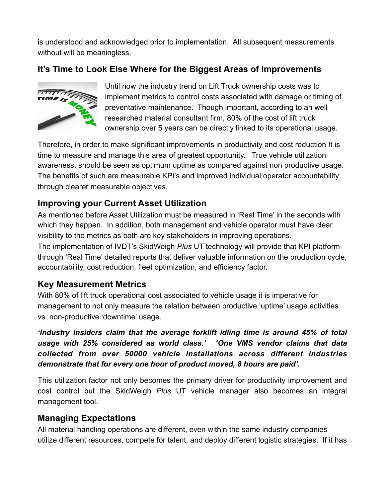is understood and acknowledged prior to implementation. All subsequent measurements without will be meaningless.

#### **It's Time to Look Else Where for the Biggest Areas of Improvements**



Until now the industry trend on Lift Truck ownership costs was to implement metrics to control costs associated with damage or timing of preventative maintenance. Though important, according to an well researched material consultant firm, 80% of the cost of lift truck ownership over 5 years can be directly linked to its operational usage.

Therefore, in order to make significant improvements in productivity and cost reduction It is time to measure and manage this area of greatest opportunity. True vehicle utilization awareness, should be seen as optimum uptime as compared against non productive usage. The benefits of such are measurable KPI's and improved individual operator accountability through clearer measurable objectives.

#### **Improving your Current Asset Utilization**

As mentioned before Asset Utilization must be measured in 'Real Time' in the seconds with which they happen. In addition, both management and vehicle operator must have clear visibility to the metrics as both are key stakeholders in improving operations. The implementation of IVDT's SkidWeigh *Plus* UT technology will provide that KPI platform through 'Real Time' detailed reports that deliver valuable information on the production cycle, accountability, cost reduction, fleet optimization, and efficiency factor.

#### **Key Measurement Metrics**

With 80% of lift truck operational cost associated to vehicle usage it is imperative for management to not only measure the relation between productive 'uptime' usage activities vs. non-productive 'downtime' usage.

*'Industry insiders claim that the average forklift idling time is around 45% of total usage with 25% considered as world class.' 'One VMS vendor claims that data collected from over 50000 vehicle installations across different industries demonstrate that for every one hour of product moved, 8 hours are paid'.*

This utilization factor not only becomes the primary driver for productivity improvement and cost control but the SkidWeigh *Plus* UT vehicle manager also becomes an integral management tool.

#### **Managing Expectations**

All material handling operations are different, even within the same industry companies utilize different resources, compete for talent, and deploy different logistic strategies. If it has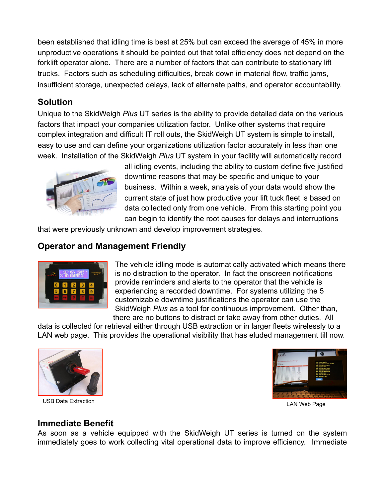been established that idling time is best at 25% but can exceed the average of 45% in more unproductive operations it should be pointed out that total efficiency does not depend on the forklift operator alone. There are a number of factors that can contribute to stationary lift trucks. Factors such as scheduling difficulties, break down in material flow, traffic jams, insufficient storage, unexpected delays, lack of alternate paths, and operator accountability.

#### **Solution**

Unique to the SkidWeigh *Plus* UT series is the ability to provide detailed data on the various factors that impact your companies utilization factor. Unlike other systems that require complex integration and difficult IT roll outs, the SkidWeigh UT system is simple to install, easy to use and can define your organizations utilization factor accurately in less than one week. Installation of the SkidWeigh *Plus* UT system in your facility will automatically record



all idling events, including the ability to custom define five justified downtime reasons that may be specific and unique to your business. Within a week, analysis of your data would show the current state of just how productive your lift tuck fleet is based on data collected only from one vehicle. From this starting point you can begin to identify the root causes for delays and interruptions

that were previously unknown and develop improvement strategies.

#### **Operator and Management Friendly**



The vehicle idling mode is automatically activated which means there is no distraction to the operator. In fact the onscreen notifications provide reminders and alerts to the operator that the vehicle is experiencing a recorded downtime. For systems utilizing the 5 customizable downtime justifications the operator can use the SkidWeigh *Plus* as a tool for continuous improvement. Other than, there are no buttons to distract or take away from other duties. All

data is collected for retrieval either through USB extraction or in larger fleets wirelessly to a LAN web page. This provides the operational visibility that has eluded management till now.



USB Data Extraction LAN Web Page



#### **Immediate Benefit**

As soon as a vehicle equipped with the SkidWeigh UT series is turned on the system immediately goes to work collecting vital operational data to improve efficiency. Immediate